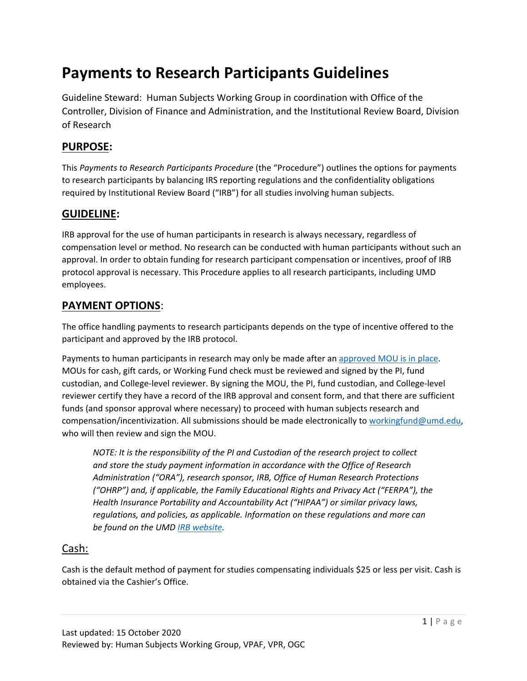# **Payments to Research Participants Guidelines**

Guideline Steward: Human Subjects Working Group in coordination with Office of the Controller, Division of Finance and Administration, and the Institutional Review Board, Division of Research

## **PURPOSE:**

This *Payments to Research Participants Procedure* (the "Procedure") outlines the options for payments to research participants by balancing IRS reporting regulations and the confidentiality obligations required by Institutional Review Board ("IRB") for all studies involving human subjects.

## **GUIDELINE:**

IRB approval for the use of human participants in research is always necessary, regardless of compensation level or method. No research can be conducted with human participants without such an approval. In order to obtain funding for research participant compensation or incentives, proof of IRB protocol approval is necessary. This Procedure applies to all research participants, including UMD employees.

## **PAYMENT OPTIONS**:

The office handling payments to research participants depends on the type of incentive offered to the participant and approved by the IRB protocol.

Payments to human participants in research may only be made after an [approved MOU is in place.](https://research.umd.edu/irbforms#rpsp) MOUs for cash, gift cards, or Working Fund check must be reviewed and signed by the PI, fund custodian, and College-level reviewer. By signing the MOU, the PI, fund custodian, and College-level reviewer certify they have a record of the IRB approval and consent form, and that there are sufficient funds (and sponsor approval where necessary) to proceed with human subjects research and compensation/incentivization. All submissions should be made electronically to [workingfund@umd.edu,](mailto:workingfund@umd.edu) who will then review and sign the MOU.

*NOTE: It is the responsibility of the PI and Custodian of the research project to collect and store the study payment information in accordance with the Office of Research Administration ("ORA"), research sponsor, IRB, Office of Human Research Protections ("OHRP") and, if applicable, the Family Educational Rights and Privacy Act ("FERPA"), the Health Insurance Portability and Accountability Act ("HIPAA") or similar privacy laws, regulations, and policies, as applicable. Information on these regulations and more can be found on the UMD [IRB website.](https://research.umd.edu/irb)*

## Cash:

Cash is the default method of payment for studies compensating individuals \$25 or less per visit. Cash is obtained via the Cashier's Office.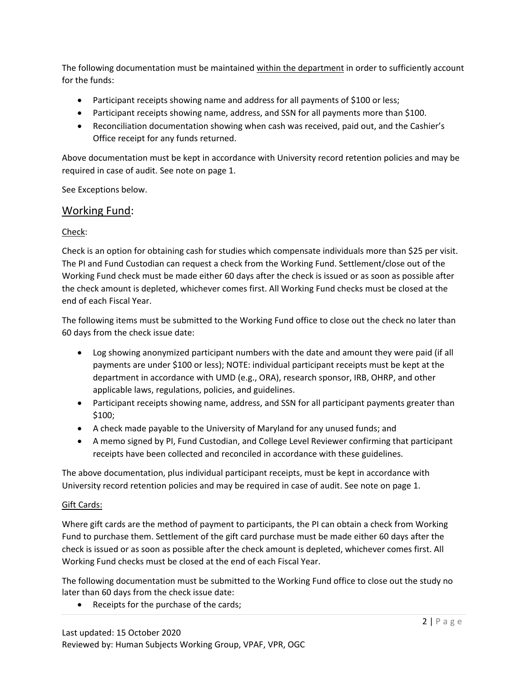The following documentation must be maintained within the department in order to sufficiently account for the funds:

- Participant receipts showing name and address for all payments of \$100 or less;
- Participant receipts showing name, address, and SSN for all payments more than \$100.
- Reconciliation documentation showing when cash was received, paid out, and the Cashier's Office receipt for any funds returned.

Above documentation must be kept in accordance with University record retention policies and may be required in case of audit. See note on page 1.

See Exceptions below.

### Working Fund:

#### Check:

Check is an option for obtaining cash for studies which compensate individuals more than \$25 per visit. The PI and Fund Custodian can request a check from the Working Fund. Settlement/close out of the Working Fund check must be made either 60 days after the check is issued or as soon as possible after the check amount is depleted, whichever comes first. All Working Fund checks must be closed at the end of each Fiscal Year.

The following items must be submitted to the Working Fund office to close out the check no later than 60 days from the check issue date:

- Log showing anonymized participant numbers with the date and amount they were paid (if all payments are under \$100 or less); NOTE: individual participant receipts must be kept at the department in accordance with UMD (e.g., ORA), research sponsor, IRB, OHRP, and other applicable laws, regulations, policies, and guidelines.
- Participant receipts showing name, address, and SSN for all participant payments greater than \$100;
- A check made payable to the University of Maryland for any unused funds; and
- A memo signed by PI, Fund Custodian, and College Level Reviewer confirming that participant receipts have been collected and reconciled in accordance with these guidelines.

The above documentation, plus individual participant receipts, must be kept in accordance with University record retention policies and may be required in case of audit. See note on page 1.

#### Gift Cards:

Where gift cards are the method of payment to participants, the PI can obtain a check from Working Fund to purchase them. Settlement of the gift card purchase must be made either 60 days after the check is issued or as soon as possible after the check amount is depleted, whichever comes first. All Working Fund checks must be closed at the end of each Fiscal Year.

The following documentation must be submitted to the Working Fund office to close out the study no later than 60 days from the check issue date:

• Receipts for the purchase of the cards;